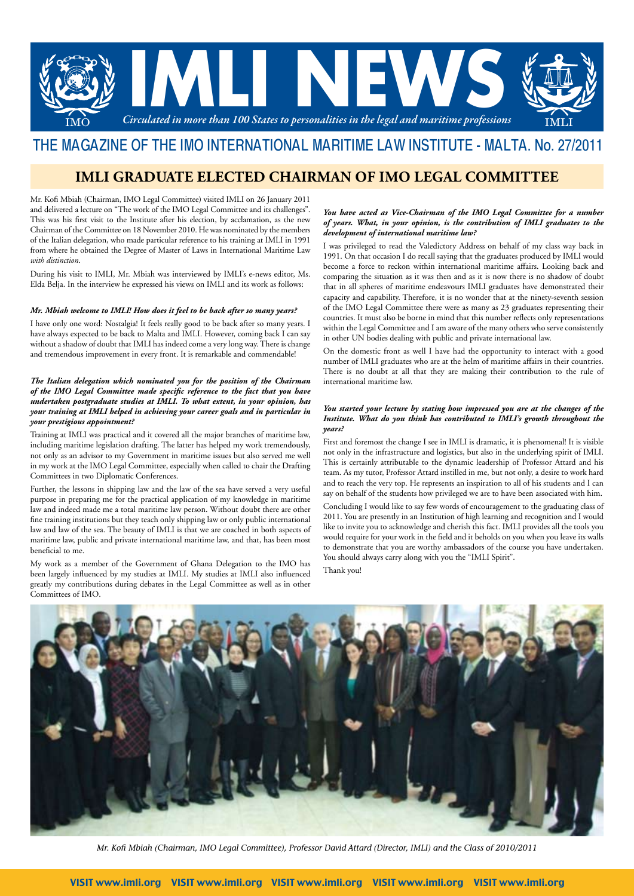

# THE MAGAZINE OF THE IMO INTERNATIONAL MARITIME LAW INSTITUTE - MALTA. No. 27/2011

## **imli graduate elected chairman of imo legal committee**

Mr. Kofi Mbiah (Chairman, IMO Legal Committee) visited IMLI on 26 January 2011 and delivered a lecture on "The work of the IMO Legal Committee and its challenges". This was his first visit to the Institute after his election, by acclamation, as the new Chairman of the Committee on 18 November 2010. He was nominated by the members of the Italian delegation, who made particular reference to his training at IMLI in 1991 from where he obtained the Degree of Master of Laws in International Maritime Law *with distinction*.

During his visit to IMLI, Mr. Mbiah was interviewed by IMLI's e-news editor, Ms. Elda Belja. In the interview he expressed his views on IMLI and its work as follows:

#### *Mr. Mbiah welcome to IMLI! How does it feel to be back after so many years?*

I have only one word: Nostalgia! It feels really good to be back after so many years. I have always expected to be back to Malta and IMLI. However, coming back I can say without a shadow of doubt that IMLI has indeed come a very long way. There is change and tremendous improvement in every front. It is remarkable and commendable!

#### *The Italian delegation which nominated you for the position of the Chairman of the IMO Legal Committee made specific reference to the fact that you have undertaken postgraduate studies at IMLI. To what extent, in your opinion, has your training at IMLI helped in achieving your career goals and in particular in your prestigious appointment?*

Training at IMLI was practical and it covered all the major branches of maritime law, including maritime legislation drafting. The latter has helped my work tremendously, not only as an advisor to my Government in maritime issues but also served me well in my work at the IMO Legal Committee, especially when called to chair the Drafting Committees in two Diplomatic Conferences.

Further, the lessons in shipping law and the law of the sea have served a very useful purpose in preparing me for the practical application of my knowledge in maritime law and indeed made me a total maritime law person. Without doubt there are other fine training institutions but they teach only shipping law or only public international law and law of the sea. The beauty of IMLI is that we are coached in both aspects of maritime law, public and private international maritime law, and that, has been most beneficial to me.

My work as a member of the Government of Ghana Delegation to the IMO has been largely influenced by my studies at IMLI. My studies at IMLI also influenced greatly my contributions during debates in the Legal Committee as well as in other Committees of IMO.

#### *You have acted as Vice-Chairman of the IMO Legal Committee for a number of years. What, in your opinion, is the contribution of IMLI graduates to the development of international maritime law?*

I was privileged to read the Valedictory Address on behalf of my class way back in 1991. On that occasion I do recall saying that the graduates produced by IMLI would become a force to reckon within international maritime affairs. Looking back and comparing the situation as it was then and as it is now there is no shadow of doubt that in all spheres of maritime endeavours IMLI graduates have demonstrated their capacity and capability. Therefore, it is no wonder that at the ninety-seventh session of the IMO Legal Committee there were as many as 23 graduates representing their countries. It must also be borne in mind that this number reflects only representations within the Legal Committee and I am aware of the many others who serve consistently in other UN bodies dealing with public and private international law.

On the domestic front as well I have had the opportunity to interact with a good number of IMLI graduates who are at the helm of maritime affairs in their countries. There is no doubt at all that they are making their contribution to the rule of international maritime law.

#### *You started your lecture by stating how impressed you are at the changes of the Institute. What do you think has contributed to IMLI's growth throughout the years?*

First and foremost the change I see in IMLI is dramatic, it is phenomenal! It is visible not only in the infrastructure and logistics, but also in the underlying spirit of IMLI. This is certainly attributable to the dynamic leadership of Professor Attard and his team. As my tutor, Professor Attard instilled in me, but not only, a desire to work hard and to reach the very top. He represents an inspiration to all of his students and I can say on behalf of the students how privileged we are to have been associated with him.

Concluding I would like to say few words of encouragement to the graduating class of 2011. You are presently in an Institution of high learning and recognition and I would like to invite you to acknowledge and cherish this fact. IMLI provides all the tools you would require for your work in the field and it beholds on you when you leave its walls to demonstrate that you are worthy ambassadors of the course you have undertaken. You should always carry along with you the "IMLI Spirit".

Thank you!



*Mr. Kofi Mbiah (Chairman, IMO Legal Committee), Professor David Attard (Director, IMLI) and the Class of 2010/2011*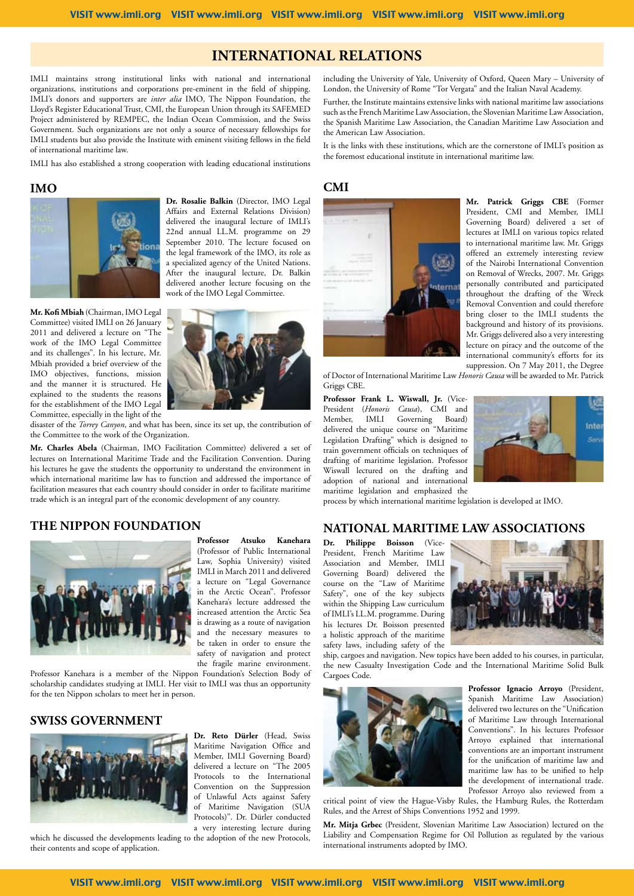## **International relations**

IMLI maintains strong institutional links with national and international organizations, institutions and corporations pre-eminent in the field of shipping. IMLI's donors and supporters are *inter alia* IMO, The Nippon Foundation, the Lloyd's Register Educational Trust, CMI, the European Union through its SAFEMED Project administered by REMPEC, the Indian Ocean Commission, and the Swiss Government. Such organizations are not only a source of necessary fellowships for IMLI students but also provide the Institute with eminent visiting fellows in the field of international maritime law.

IMLI has also established a strong cooperation with leading educational institutions

### **IMO**



**Dr. Rosalie Balkin** (Director, IMO Legal Affairs and External Relations Division) delivered the inaugural lecture of IMLI's 22nd annual LL.M. programme on 29 September 2010. The lecture focused on the legal framework of the IMO, its role as a specialized agency of the United Nations. After the inaugural lecture, Dr. Balkin delivered another lecture focusing on the work of the IMO Legal Committee.

**Mr. Kofi Mbiah** (Chairman, IMO Legal Committee) visited IMLI on 26 January 2011 and delivered a lecture on "The work of the IMO Legal Committee and its challenges". In his lecture, Mr. Mbiah provided a brief overview of the IMO objectives, functions, mission and the manner it is structured. He explained to the students the reasons for the establishment of the IMO Legal Committee, especially in the light of the



disaster of the *Torrey Canyon*, and what has been, since its set up, the contribution of the Committee to the work of the Organization.

**Mr. Charles Abela** (Chairman, IMO Facilitation Committee) delivered a set of lectures on International Maritime Trade and the Facilitation Convention. During his lectures he gave the students the opportunity to understand the environment in which international maritime law has to function and addressed the importance of facilitation measures that each country should consider in order to facilitate maritime trade which is an integral part of the economic development of any country.

### **THE NIPPON FOUNDATION**



**Professor Atsuko Kanehara** (Professor of Public International Law, Sophia University) visited IMLI in March 2011 and delivered a lecture on "Legal Governance in the Arctic Ocean". Professor Kanehara's lecture addressed the increased attention the Arctic Sea is drawing as a route of navigation and the necessary measures to be taken in order to ensure the safety of navigation and protect the fragile marine environment.

Professor Kanehara is a member of the Nippon Foundation's Selection Body of scholarship candidates studying at IMLI. Her visit to IMLI was thus an opportunity for the ten Nippon scholars to meet her in person.

### **SWISS GOVERNMENT**



which he discussed the developments leading to the adoption of the new Protocols, their contents and scope of application.

# **CMI**



the American Law Association.

**Mr. Patrick Griggs CBE** (Former President, CMI and Member, IMLI Governing Board) delivered a set of lectures at IMLI on various topics related to international maritime law. Mr. Griggs offered an extremely interesting review of the Nairobi International Convention on Removal of Wrecks, 2007. Mr. Griggs personally contributed and participated throughout the drafting of the Wreck Removal Convention and could therefore bring closer to the IMLI students the background and history of its provisions. Mr. Griggs delivered also a very interesting lecture on piracy and the outcome of the international community's efforts for its suppression. On 7 May 2011, the Degree

of Doctor of International Maritime Law *Honoris Causa* will be awarded to Mr. Patrick Griggs CBE.

including the University of Yale, University of Oxford, Queen Mary – University of London, the University of Rome "Tor Vergata" and the Italian Naval Academy. Further, the Institute maintains extensive links with national maritime law associations such as the French Maritime Law Association, the Slovenian Maritime Law Association, the Spanish Maritime Law Association, the Canadian Maritime Law Association and

It is the links with these institutions, which are the cornerstone of IMLI's position as

the foremost educational institute in international maritime law.

**Professor Frank L. Wiswall, Jr.** (Vice-President (*Honoris Causa*), CMI and<br>Member. IMLI Governing Board) IMLI Governing Board) delivered the unique course on "Maritime Legislation Drafting" which is designed to train government officials on techniques of drafting of maritime legislation. Professor Wiswall lectured on the drafting and adoption of national and international maritime legislation and emphasized the



process by which international maritime legislation is developed at IMO.

#### **NATIONAL MARITIME LAW Associations**

**Dr. Philippe Boisson** (Vice-President, French Maritime Law Association and Member, IMLI Governing Board) delivered the course on the "Law of Maritime Safety", one of the key subjects within the Shipping Law curriculum of IMLI's LL.M. programme. During his lectures Dr. Boisson presented a holistic approach of the maritime safety laws, including safety of the



ship, cargoes and navigation. New topics have been added to his courses, in particular, the new Casualty Investigation Code and the International Maritime Solid Bulk Cargoes Code.



**Professor Ignacio Arroyo** (President, Spanish Maritime Law Association) delivered two lectures on the "Unification of Maritime Law through International Conventions". In his lectures Professor Arroyo explained that international conventions are an important instrument for the unification of maritime law and maritime law has to be unified to help the development of international trade. Professor Arroyo also reviewed from a

critical point of view the Hague-Visby Rules, the Hamburg Rules, the Rotterdam Rules, and the Arrest of Ships Conventions 1952 and 1999.

**Mr. Mitja Grbec** (President, Slovenian Maritime Law Association) lectured on the Liability and Compensation Regime for Oil Pollution as regulated by the various international instruments adopted by IMO.

Visit www.imli.org Visit www.imli.org Visit www.imli.org Visit www.imli.org Visit www.imli.org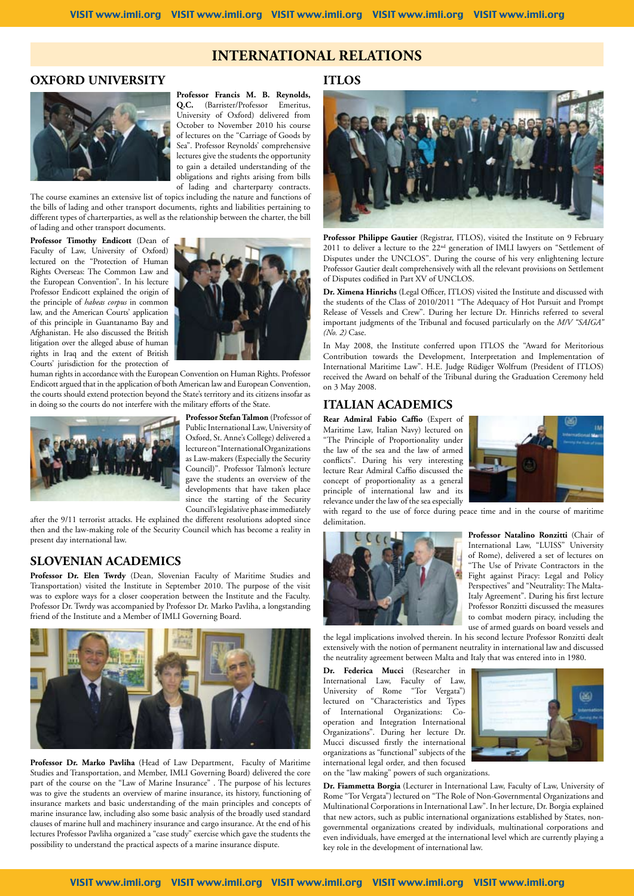## **International relations**

### **OXFORD UNIVERSITY**



**Professor Francis M. B. Reynolds, Q.C.** (Barrister/Professor Emeritus, University of Oxford) delivered from October to November 2010 his course of lectures on the "Carriage of Goods by Sea". Professor Reynolds' comprehensive lectures give the students the opportunity to gain a detailed understanding of the obligations and rights arising from bills of lading and charterparty contracts.

The course examines an extensive list of topics including the nature and functions of the bills of lading and other transport documents, rights and liabilities pertaining to different types of charterparties, as well as the relationship between the charter, the bill of lading and other transport documents.

# **Professor Timothy Endicott** (Dean of

Faculty of Law, University of Oxford) lectured on the "Protection of Human Rights Overseas: The Common Law and the European Convention". In his lecture Professor Endicott explained the origin of the principle of *habeas corpus* in common law, and the American Courts' application of this principle in Guantanamo Bay and Afghanistan. He also discussed the British litigation over the alleged abuse of human rights in Iraq and the extent of British Courts' jurisdiction for the protection of



human rights in accordance with the European Convention on Human Rights. Professor Endicott argued that in the application of both American law and European Convention, the courts should extend protection beyond the State's territory and its citizens insofar as in doing so the courts do not interfere with the military efforts of the State.



**Professor Stefan Talmon** (Professor of Public International Law, University of Oxford, St. Anne's College) delivered a lecture on "International Organizations as Law-makers (Especially the Security Council)". Professor Talmon's lecture gave the students an overview of the developments that have taken place since the starting of the Security Council's legislative phase immediately

after the 9/11 terrorist attacks. He explained the different resolutions adopted since then and the law-making role of the Security Council which has become a reality in present day international law.

### **SLOVENIAN ACADEMICS**

Professor Dr. Elen Twrdy (Dean, Slovenian Faculty of Maritime Studies and Transportation) visited the Institute in September 2010. The purpose of the visit was to explore ways for a closer cooperation between the Institute and the Faculty. Professor Dr. Twrdy was accompanied by Professor Dr. Marko Pavliha, a longstanding friend of the Institute and a Member of IMLI Governing Board.



Professor Dr. Marko Pavliha (Head of Law Department, Faculty of Maritime Studies and Transportation, and Member, IMLI Governing Board) delivered the core part of the course on the "Law of Marine Insurance" . The purpose of his lectures was to give the students an overview of marine insurance, its history, functioning of insurance markets and basic understanding of the main principles and concepts of marine insurance law, including also some basic analysis of the broadly used standard clauses of marine hull and machinery insurance and cargo insurance. At the end of his lectures Professor Pavliha organized a "case study" exercise which gave the students the possibility to understand the practical aspects of a marine insurance dispute.

## **ITLOS**



**Professor Philippe Gautier** (Registrar, ITLOS), visited the Institute on 9 February 2011 to deliver a lecture to the 22<sup>nd</sup> generation of IMLI lawyers on "Settlement of Disputes under the UNCLOS". During the course of his very enlightening lecture Professor Gautier dealt comprehensively with all the relevant provisions on Settlement of Disputes codified in Part XV of UNCLOS.

**Dr. Ximena Hinrichs** (Legal Officer, ITLOS) visited the Institute and discussed with the students of the Class of 2010/2011 "The Adequacy of Hot Pursuit and Prompt Release of Vessels and Crew". During her lecture Dr. Hinrichs referred to several important judgments of the Tribunal and focused particularly on the *M/V "SAIGA" (No. 2)* Case.

In May 2008, the Institute conferred upon ITLOS the "Award for Meritorious Contribution towards the Development, Interpretation and Implementation of International Maritime Law". H.E. Judge Rüdiger Wolfrum (President of ITLOS) received the Award on behalf of the Tribunal during the Graduation Ceremony held on 3 May 2008.

### **ITALIAN ACADEMICS**

**Rear Admiral Fabio Caffio** (Expert of Maritime Law, Italian Navy) lectured on "The Principle of Proportionality under the law of the sea and the law of armed conflicts". During his very interesting lecture Rear Admiral Caffio discussed the concept of proportionality as a general principle of international law and its relevance under the law of the sea especially



with regard to the use of force during peace time and in the course of maritime delimitation.



**Professor Natalino Ronzitti** (Chair of International Law, "LUISS" University of Rome), delivered a set of lectures on "The Use of Private Contractors in the Fight against Piracy: Legal and Policy Perspectives" and "Neutrality: The Malta-Italy Agreement". During his first lecture Professor Ronzitti discussed the measures to combat modern piracy, including the use of armed guards on board vessels and

the legal implications involved therein. In his second lecture Professor Ronzitti dealt extensively with the notion of permanent neutrality in international law and discussed the neutrality agreement between Malta and Italy that was entered into in 1980.

**Dr. Federica Mucci** (Researcher in International Law, Faculty of Law, University of Rome "Tor Vergata") lectured on "Characteristics and Types of International Organizations: Cooperation and Integration International Organizations". During her lecture Dr. Mucci discussed firstly the international organizations as "functional" subjects of the international legal order, and then focused on the "law making" powers of such organizations.



**Dr. Fiammetta Borgia** (Lecturer in International Law, Faculty of Law, University of Rome "Tor Vergata") lectured on "The Role of Non-Governmental Organizations and Multinational Corporations in International Law". In her lecture, Dr. Borgia explained that new actors, such as public international organizations established by States, nongovernmental organizations created by individuals, multinational corporations and even individuals, have emerged at the international level which are currently playing a key role in the development of international law.